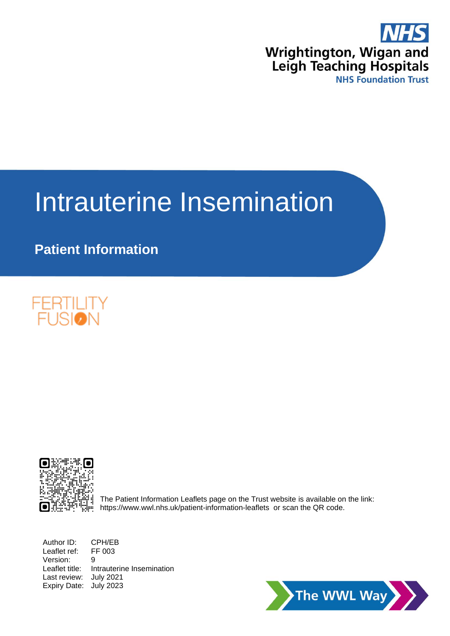

# Intrauterine Insemination

# **Patient Information**





The Patient Information Leaflets page on the Trust website is available on the link: <https://www.wwl.nhs.uk/patient-information-leaflets> or scan the QR code.

Author ID: CPH/EB Leaflet ref: FF 003 Version: 9 Leaflet title: Intrauterine Insemination Last review: July 2021 Expiry Date: July 2023

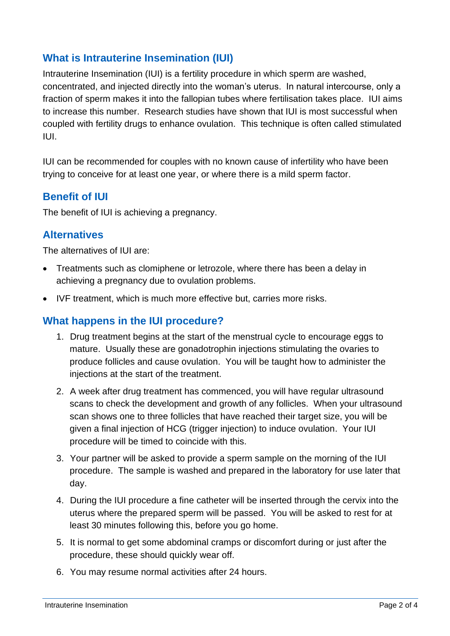#### **What is Intrauterine Insemination (IUI)**

Intrauterine Insemination (IUI) is a fertility procedure in which sperm are washed, concentrated, and injected directly into the woman's uterus. In natural intercourse, only a fraction of sperm makes it into the fallopian tubes where fertilisation takes place. IUI aims to increase this number. Research studies have shown that IUI is most successful when coupled with fertility drugs to enhance ovulation. This technique is often called stimulated IUI.

IUI can be recommended for couples with no known cause of infertility who have been trying to conceive for at least one year, or where there is a mild sperm factor.

#### **Benefit of IUI**

The benefit of IUI is achieving a pregnancy.

#### **Alternatives**

The alternatives of IUI are:

- Treatments such as clomiphene or letrozole, where there has been a delay in achieving a pregnancy due to ovulation problems.
- IVF treatment, which is much more effective but, carries more risks.

#### **What happens in the IUI procedure?**

- 1. Drug treatment begins at the start of the menstrual cycle to encourage eggs to mature. Usually these are gonadotrophin injections stimulating the ovaries to produce follicles and cause ovulation. You will be taught how to administer the injections at the start of the treatment.
- 2. A week after drug treatment has commenced, you will have regular ultrasound scans to check the development and growth of any follicles. When your ultrasound scan shows one to three follicles that have reached their target size, you will be given a final injection of HCG (trigger injection) to induce ovulation. Your IUI procedure will be timed to coincide with this.
- 3. Your partner will be asked to provide a sperm sample on the morning of the IUI procedure. The sample is washed and prepared in the laboratory for use later that day.
- 4. During the IUI procedure a fine catheter will be inserted through the cervix into the uterus where the prepared sperm will be passed. You will be asked to rest for at least 30 minutes following this, before you go home.
- 5. It is normal to get some abdominal cramps or discomfort during or just after the procedure, these should quickly wear off.
- 6. You may resume normal activities after 24 hours.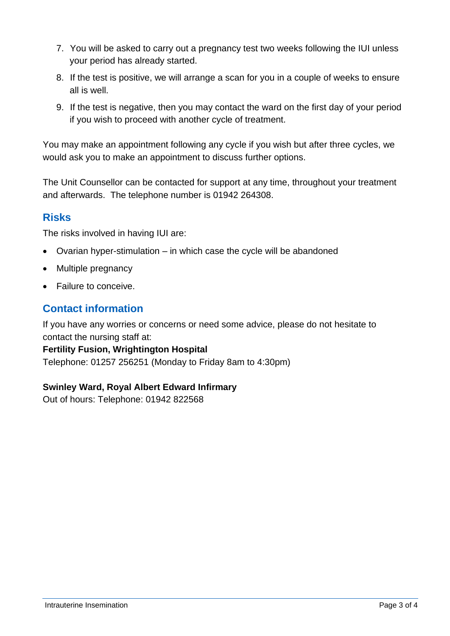- 7. You will be asked to carry out a pregnancy test two weeks following the IUI unless your period has already started.
- 8. If the test is positive, we will arrange a scan for you in a couple of weeks to ensure all is well.
- 9. If the test is negative, then you may contact the ward on the first day of your period if you wish to proceed with another cycle of treatment.

You may make an appointment following any cycle if you wish but after three cycles, we would ask you to make an appointment to discuss further options.

The Unit Counsellor can be contacted for support at any time, throughout your treatment and afterwards. The telephone number is 01942 264308.

#### **Risks**

The risks involved in having IUI are:

- Ovarian hyper-stimulation in which case the cycle will be abandoned
- Multiple pregnancy
- Failure to conceive.

#### **Contact information**

If you have any worries or concerns or need some advice, please do not hesitate to contact the nursing staff at:

**Fertility Fusion, Wrightington Hospital**

Telephone: 01257 256251 (Monday to Friday 8am to 4:30pm)

#### **Swinley Ward, Royal Albert Edward Infirmary**

Out of hours: Telephone: 01942 822568